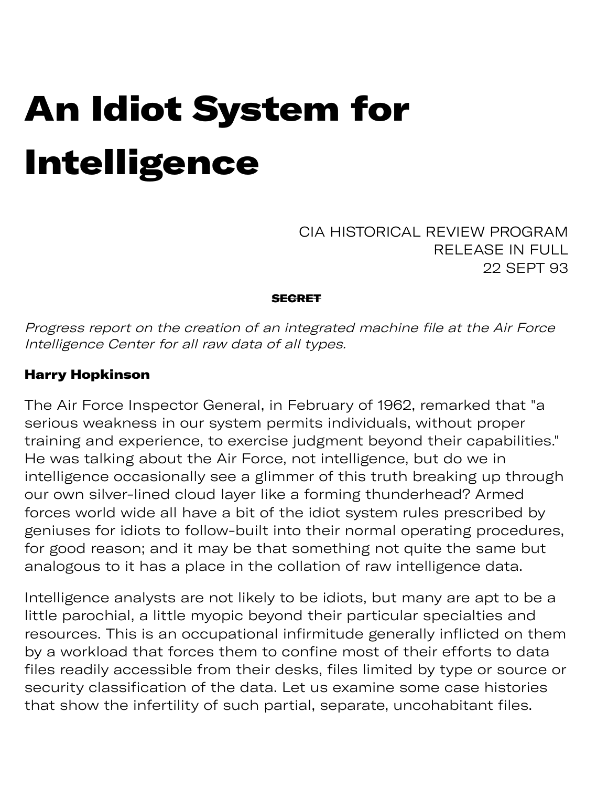# An Idiot System for Intelligence

CIA HISTORICAL REVIEW PROGRAM RELEASE IN FULL 22 SEPT 93

#### **SECRET**

Progress report on the creation of an integrated machine file at the Air Force Intelligence Center for all raw data of all types.

#### Harry Hopkinson

The Air Force Inspector General, in February of 1962, remarked that "a serious weakness in our system permits individuals, without proper training and experience, to exercise judgment beyond their capabilities." He was talking about the Air Force, not intelligence, but do we in intelligence occasionally see a glimmer of this truth breaking up through our own silver-lined cloud layer like a forming thunderhead? Armed forces world wide all have a bit of the idiot system rules prescribed by geniuses for idiots to follow-built into their normal operating procedures, for good reason; and it may be that something not quite the same but analogous to it has a place in the collation of raw intelligence data.

Intelligence analysts are not likely to be idiots, but many are apt to be a little parochial, a little myopic beyond their particular specialties and resources. This is an occupational infirmitude generally inflicted on them by a workload that forces them to confine most of their efforts to data files readily accessible from their desks, files limited by type or source or security classification of the data. Let us examine some case histories that show the infertility of such partial, separate, uncohabitant files.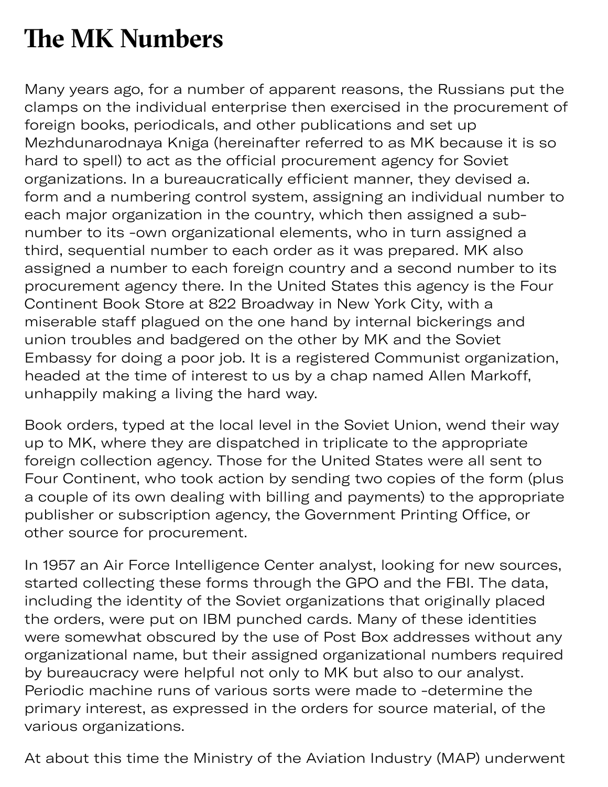### **The MK Numbers**

Many years ago, for a number of apparent reasons, the Russians put the clamps on the individual enterprise then exercised in the procurement of foreign books, periodicals, and other publications and set up Mezhdunarodnaya Kniga (hereinafter referred to as MK because it is so hard to spell) to act as the official procurement agency for Soviet organizations. In a bureaucratically efficient manner, they devised a. form and a numbering control system, assigning an individual number to each major organization in the country, which then assigned a subnumber to its -own organizational elements, who in turn assigned a third, sequential number to each order as it was prepared. MK also assigned a number to each foreign country and a second number to its procurement agency there. In the United States this agency is the Four Continent Book Store at 822 Broadway in New York City, with a miserable staff plagued on the one hand by internal bickerings and union troubles and badgered on the other by MK and the Soviet Embassy for doing a poor job. It is a registered Communist organization, headed at the time of interest to us by a chap named Allen Markoff, unhappily making a living the hard way.

Book orders, typed at the local level in the Soviet Union, wend their way up to MK, where they are dispatched in triplicate to the appropriate foreign collection agency. Those for the United States were all sent to Four Continent, who took action by sending two copies of the form (plus a couple of its own dealing with billing and payments) to the appropriate publisher or subscription agency, the Government Printing Office, or other source for procurement.

In 1957 an Air Force Intelligence Center analyst, looking for new sources, started collecting these forms through the GPO and the FBI. The data, including the identity of the Soviet organizations that originally placed the orders, were put on IBM punched cards. Many of these identities were somewhat obscured by the use of Post Box addresses without any organizational name, but their assigned organizational numbers required by bureaucracy were helpful not only to MK but also to our analyst. Periodic machine runs of various sorts were made to -determine the primary interest, as expressed in the orders for source material, of the various organizations.

At about this time the Ministry of the Aviation Industry (MAP) underwent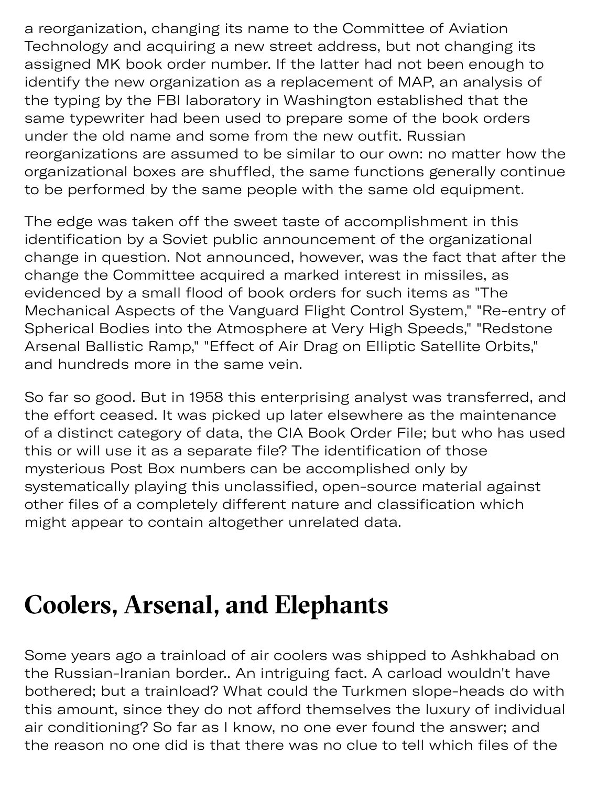a reorganization, changing its name to the Committee of Aviation Technology and acquiring a new street address, but not changing its assigned MK book order number. If the latter had not been enough to identify the new organization as a replacement of MAP, an analysis of the typing by the FBI laboratory in Washington established that the same typewriter had been used to prepare some of the book orders under the old name and some from the new outfit. Russian reorganizations are assumed to be similar to our own: no matter how the organizational boxes are shuffled, the same functions generally continue to be performed by the same people with the same old equipment.

 $y \in \mathcal{M}$  , where  $y \in \mathcal{M}$  and  $y \in \mathcal{M}$ 

The edge was taken off the sweet taste of accomplishment in this identification by a Soviet public announcement of the organizational change in question. Not announced, however, was the fact that after the change the Committee acquired a marked interest in missiles, as evidenced by a small flood of book orders for such items as "The Mechanical Aspects of the Vanguard Flight Control System," "Re-entry of Spherical Bodies into the Atmosphere at Very High Speeds," "Redstone Arsenal Ballistic Ramp," "Effect of Air Drag on Elliptic Satellite Orbits," and hundreds more in the same vein.

So far so good. But in 1958 this enterprising analyst was transferred, and the effort ceased. It was picked up later elsewhere as the maintenance of a distinct category of data, the CIA Book Order File; but who has used this or will use it as a separate file? The identification of those mysterious Post Box numbers can be accomplished only by systematically playing this unclassified, open-source material against other files of a completely different nature and classification which might appear to contain altogether unrelated data.

### **Coolers, Arsenal, and Elephants**

Some years ago a trainload of air coolers was shipped to Ashkhabad on the Russian-Iranian border.. An intriguing fact. A carload wouldn't have bothered; but a trainload? What could the Turkmen slope-heads do with this amount, since they do not afford themselves the luxury of individual air conditioning? So far as I know, no one ever found the answer; and the reason no one did is that there was no clue to tell which files of the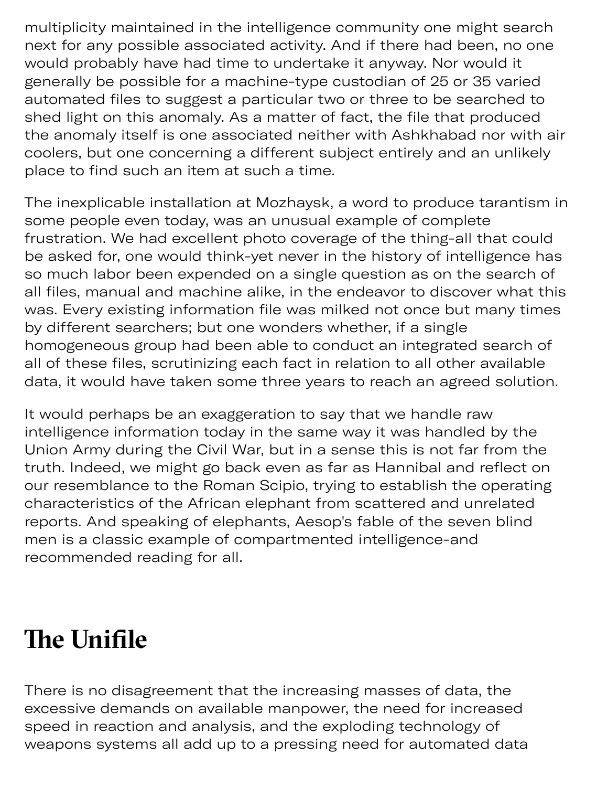multiplicity maintained in the intelligence community one might search next for any possible associated activity. And if there had been, no one would probably have had time to undertake it anyway. Nor would it generally be possible for a machine-type custodian of 25 or 35 varied automated files to suggest a particular two or three to be searched to shed light on this anomaly. As a matter of fact, the file that produced the anomaly itself is one associated neither with Ashkhabad nor with air coolers, but one concerning a different subject entirely and an unlikely place to find such an item at such a time.

The inexplicable installation at Mozhaysk, a word to produce tarantism in some people even today, was an unusual example of complete frustration. We had excellent photo coverage of the thing-all that could be asked for, one would think-yet never in the history of intelligence has so much labor been expended on a single question as on the search of all files, manual and machine alike, in the endeavor to discover what this was. Every existing information file was milked not once but many times by different searchers; but one wonders whether, if a single homogeneous group had been able to conduct an integrated search of all of these files, scrutinizing each fact in relation to all other available data, it would have taken some three years to reach an agreed solution.

It would perhaps be an exaggeration to say that we handle raw intelligence information today in the same way it was handled by the Union Army during the Civil War, but in a sense this is not far from the truth. Indeed, we might go back even as far as Hannibal and reflect on our resemblance to the Roman Scipio, trying to establish the operating characteristics of the African elephant from scattered and unrelated reports. And speaking of elephants, Aesop's fable of the seven blind men is a classic example of compartmented intelligence-and recommended reading for all.

## **The Unifile**

There is no disagreement that the increasing masses of data, the excessive demands on available manpower, the need for increased speed in reaction and analysis, and the exploding technology of weapons systems all add up to a pressing need for automated data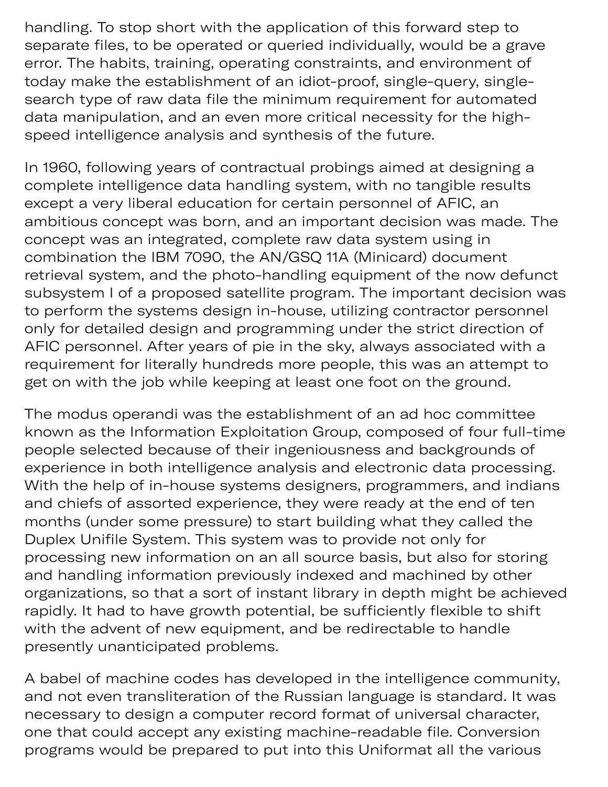handling. To stop short with the application of this forward step to separate files, to be operated or queried individually, would be a grave error. The habits, training, operating constraints, and environment of today make the establishment of an idiot-proof, single-query, singlesearch type of raw data file the minimum requirement for automated data manipulation, and an even more critical necessity for the highspeed intelligence analysis and synthesis of the future.

In 1960, following years of contractual probings aimed at designing a complete intelligence data handling system, with no tangible results except a very liberal education for certain personnel of AFIC, an ambitious concept was born, and an important decision was made. The concept was an integrated, complete raw data system using in combination the IBM 7090, the AN/GSQ 11A (Minicard) document retrieval system, and the photo-handling equipment of the now defunct subsystem I of a proposed satellite program. The important decision was to perform the systems design in-house, utilizing contractor personnel only for detailed design and programming under the strict direction of AFIC personnel. After years of pie in the sky, always associated with a requirement for literally hundreds more people, this was an attempt to get on with the job while keeping at least one foot on the ground.

The modus operandi was the establishment of an ad hoc committee known as the Information Exploitation Group, composed of four full-time people selected because of their ingeniousness and backgrounds of experience in both intelligence analysis and electronic data processing. With the help of in-house systems designers, programmers, and indians and chiefs of assorted experience, they were ready at the end of ten months (under some pressure) to start building what they called the Duplex Unifile System. This system was to provide not only for processing new information on an all source basis, but also for storing and handling information previously indexed and machined by other organizations, so that a sort of instant library in depth might be achieved rapidly. It had to have growth potential, be sufficiently flexible to shift with the advent of new equipment, and be redirectable to handle presently unanticipated problems.

A babel of machine codes has developed in the intelligence community, and not even transliteration of the Russian language is standard. It was necessary to design a computer record format of universal character, one that could accept any existing machine-readable file. Conversion programs would be prepared to put into this Uniformat all the various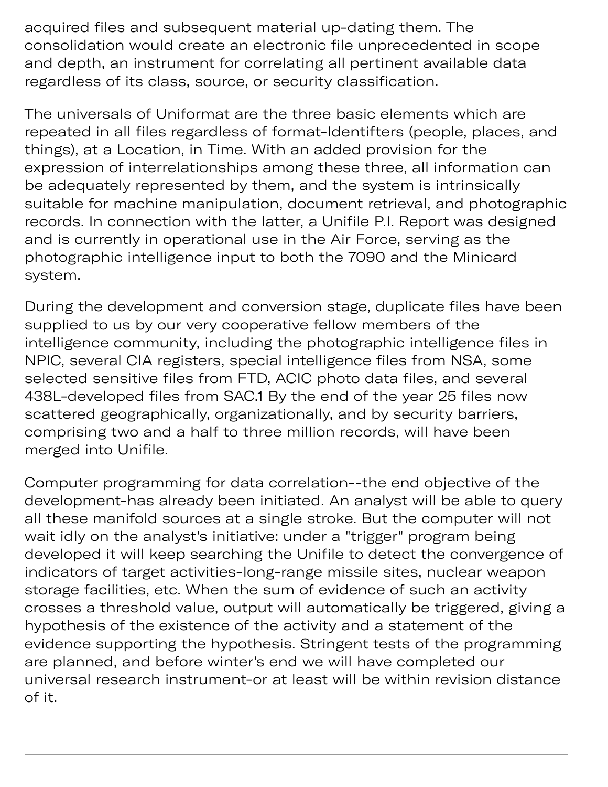acquired files and subsequent material up-dating them. The consolidation would create an electronic file unprecedented in scope and depth, an instrument for correlating all pertinent available data regardless of its class, source, or security classification.

The universals of Uniformat are the three basic elements which are repeated in all files regardless of format-Identifters (people, places, and things), at a Location, in Time. With an added provision for the expression of interrelationships among these three, all information can be adequately represented by them, and the system is intrinsically suitable for machine manipulation, document retrieval, and photographic records. In connection with the latter, a Unifile P.I. Report was designed and is currently in operational use in the Air Force, serving as the photographic intelligence input to both the 7090 and the Minicard system.

During the development and conversion stage, duplicate files have been supplied to us by our very cooperative fellow members of the intelligence community, including the photographic intelligence files in NPIC, several CIA registers, special intelligence files from NSA, some selected sensitive files from FTD, ACIC photo data files, and several 438L-developed files from SAC.1 By the end of the year 25 files now scattered geographically, organizationally, and by security barriers, comprising two and a half to three million records, will have been merged into Unifile.

Computer programming for data correlation--the end objective of the development-has already been initiated. An analyst will be able to query all these manifold sources at a single stroke. But the computer will not wait idly on the analyst's initiative: under a "trigger" program being developed it will keep searching the Unifile to detect the convergence of indicators of target activities-long-range missile sites, nuclear weapon storage facilities, etc. When the sum of evidence of such an activity crosses a threshold value, output will automatically be triggered, giving a hypothesis of the existence of the activity and a statement of the evidence supporting the hypothesis. Stringent tests of the programming are planned, and before winter's end we will have completed our universal research instrument-or at least will be within revision distance of it.